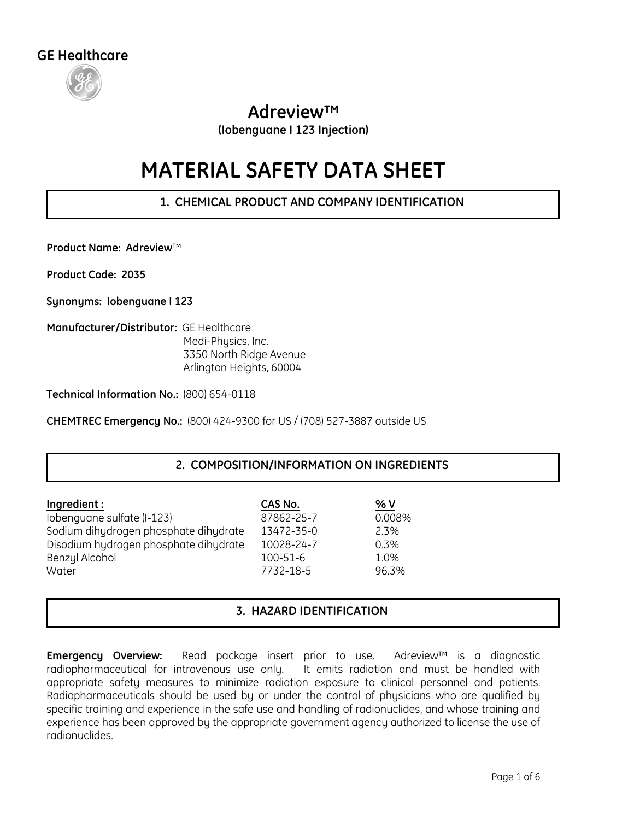

# **Adreview™**

**(Iobenguane I 123 Injection)**

# **MATERIAL SAFETY DATA SHEET**

**1. CHEMICAL PRODUCT AND COMPANY IDENTIFICATION**

**Product Name: Adreview**™

**Product Code: 2035** 

**Synonyms: Iobenguane I 123**

**Manufacturer/Distributor:** GE Healthcare Medi-Physics, Inc. 3350 North Ridge Avenue Arlington Heights, 60004

**Technical Information No.:** (800) 654-0118

**CHEMTREC Emergency No.:** (800) 424-9300 for US / (708) 527-3887 outside US

# **2. COMPOSITION/INFORMATION ON INGREDIENTS**

| Ingredient:                           | CAS No.        | % V    |
|---------------------------------------|----------------|--------|
| Iobenguane sulfate (I-123)            | 87862-25-7     | 0.008% |
| Sodium dihydrogen phosphate dihydrate | 13472-35-0     | 2.3%   |
| Disodium hydrogen phosphate dihydrate | 10028-24-7     | 0.3%   |
| Benzyl Alcohol                        | $100 - 51 - 6$ | 1.0%   |
| Water                                 | 7732-18-5      | 96.3%  |

# **3. HAZARD IDENTIFICATION**

**Emergency Overview:** Read package insert prior to use. Adreview™ is a diagnostic radiopharmaceutical for intravenous use only. It emits radiation and must be handled with appropriate safety measures to minimize radiation exposure to clinical personnel and patients. Radiopharmaceuticals should be used by or under the control of physicians who are qualified by specific training and experience in the safe use and handling of radionuclides, and whose training and experience has been approved by the appropriate government agency authorized to license the use of radionuclides.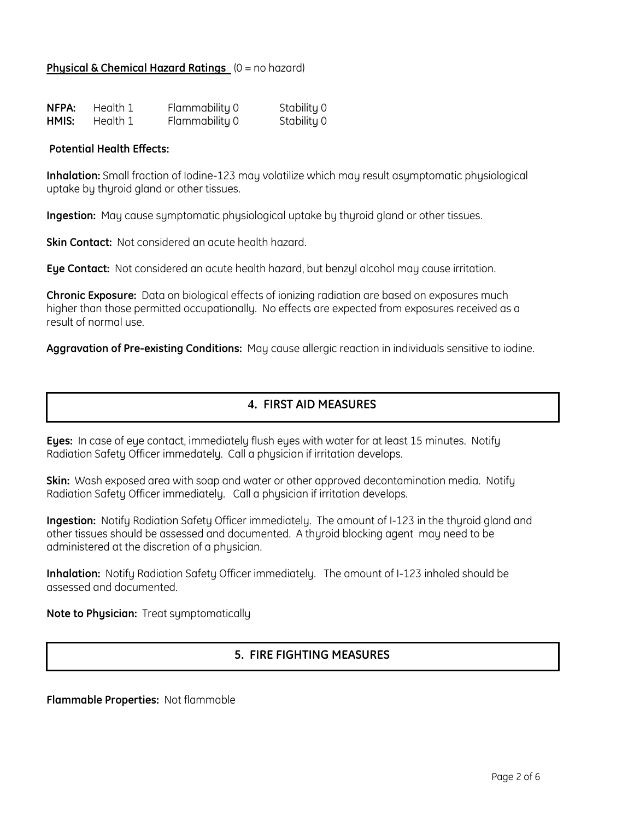#### **Physical & Chemical Hazard Ratings**  $(0 = no hazard)$

| NFPA: | Health 1 | Flammability 0 | Stability 0 |
|-------|----------|----------------|-------------|
| HMIS: | Health 1 | Flammability 0 | Stability 0 |

#### **Potential Health Effects:**

**Inhalation:** Small fraction of Iodine-123 may volatilize which may result asymptomatic physiological uptake by thyroid gland or other tissues.

**Ingestion:** May cause symptomatic physiological uptake by thyroid gland or other tissues.

**Skin Contact:** Not considered an acute health hazard.

**Eye Contact:** Not considered an acute health hazard, but benzyl alcohol may cause irritation.

**Chronic Exposure:** Data on biological effects of ionizing radiation are based on exposures much higher than those permitted occupationally. No effects are expected from exposures received as a result of normal use.

**Aggravation of Pre-existing Conditions:** May cause allergic reaction in individuals sensitive to iodine.

# **4. FIRST AID MEASURES**

**Eyes:** In case of eye contact, immediately flush eyes with water for at least 15 minutes. Notify Radiation Safety Officer immedately. Call a physician if irritation develops.

**Skin:** Wash exposed area with soap and water or other approved decontamination media. Notify Radiation Safety Officer immediately. Call a physician if irritation develops.

**Ingestion:** Notify Radiation Safety Officer immediately. The amount of I-123 in the thyroid gland and other tissues should be assessed and documented. A thyroid blocking agent may need to be administered at the discretion of a physician.

**Inhalation:** Notify Radiation Safety Officer immediately. The amount of I-123 inhaled should be assessed and documented.

**Note to Physician:** Treat symptomatically

# **5. FIRE FIGHTING MEASURES**

**Flammable Properties:** Not flammable

FIRE FIG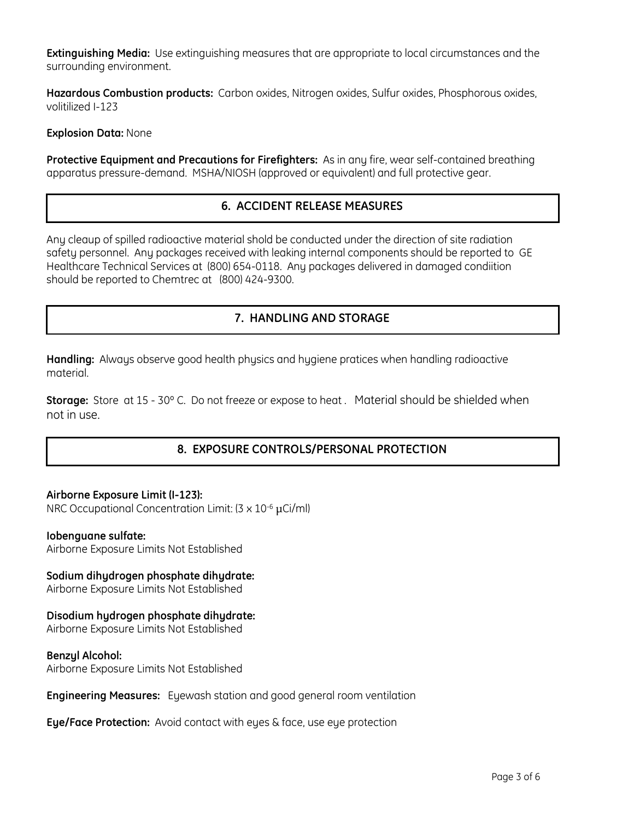**Extinguishing Media:** Use extinguishing measures that are appropriate to local circumstances and the surrounding environment.

**Hazardous Combustion products:** Carbon oxides, Nitrogen oxides, Sulfur oxides, Phosphorous oxides, volitilized I-123

**Explosion Data:** None

**Protective Equipment and Precautions for Firefighters:** As in any fire, wear self-contained breathing apparatus pressure-demand. MSHA/NIOSH (approved or equivalent) and full protective gear.

# **6. ACCIDENT RELEASE MEASURES**

Any cleaup of spilled radioactive material shold be conducted under the direction of site radiation safety personnel. Any packages received with leaking internal components should be reported to GE Healthcare Technical Services at (800) 654-0118. Any packages delivered in damaged condiition should be reported to Chemtrec at (800) 424-9300.

# **7. HANDLING AND STORAGE**

**Handling:** Always observe good health physics and hygiene pratices when handling radioactive material.

**Storage:** Store at 15 - 30º C. Do not freeze or expose to heat . Material should be shielded when not in use.

# **8. EXPOSURE CONTROLS/PERSONAL PROTECTION**

#### **Airborne Exposure Limit (I-123):**

NRC Occupational Concentration Limit: (3 x 10-6 μCi/ml)

#### **Iobenguane sulfate:**

Airborne Exposure Limits Not Established

# **Sodium dihydrogen phosphate dihydrate:**

Airborne Exposure Limits Not Established

#### **Disodium hydrogen phosphate dihydrate:**

Airborne Exposure Limits Not Established

#### **Benzyl Alcohol:**

Airborne Exposure Limits Not Established

**Engineering Measures:** Eyewash station and good general room ventilation

**Eye/Face Protection:** Avoid contact with eyes & face, use eye protection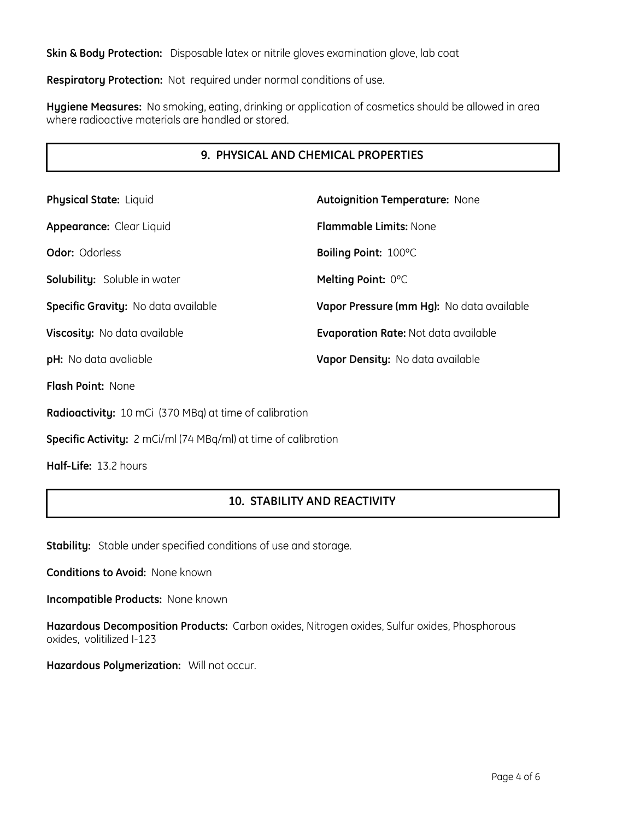**Skin & Body Protection:** Disposable latex or nitrile gloves examination glove, lab coat

**Respiratory Protection:** Not required under normal conditions of use.

**Hygiene Measures:** No smoking, eating, drinking or application of cosmetics should be allowed in area where radioactive materials are handled or stored.

# **9. PHYSICAL AND CHEMICAL PROPERTIES**

| <b>Physical State: Liquid</b>              | <b>Autoignition Temperature: None</b>       |
|--------------------------------------------|---------------------------------------------|
| Appearance: Clear Liquid                   | <b>Flammable Limits: None</b>               |
| <b>Odor: Odorless</b>                      | Boiling Point: 100°C                        |
| <b>Solubility:</b> Soluble in water        | Melting Point: 0°C                          |
| <b>Specific Gravity:</b> No data available | Vapor Pressure (mm Hg): No data available   |
| <b>Viscosity:</b> No data available        | <b>Evaporation Rate: Not data available</b> |
| pH: No data avaliable                      | Vapor Density: No data available            |
| <b>Flash Point:</b> None                   |                                             |

**Radioactivity:** 10 mCi (370 MBq) at time of calibration

**Specific Activity:** 2 mCi/ml (74 MBq/ml) at time of calibration

**Half-Life:** 13.2 hours

# **10. STABILITY AND REACTIVITY**

**Stability:** Stable under specified conditions of use and storage.

**Conditions to Avoid:** None known

**Incompatible Products:** None known

**Hazardous Decomposition Products:** Carbon oxides, Nitrogen oxides, Sulfur oxides, Phosphorous oxides, volitilized I-123

**Hazardous Polymerization:** Will not occur.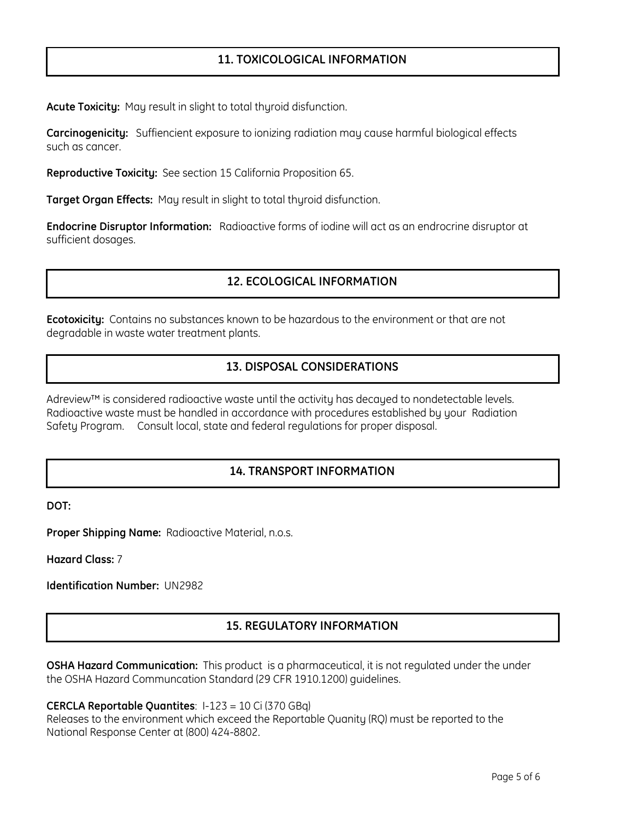## **11. TOXICOLOGICAL INFORMATION**

**Acute Toxicity:** May result in slight to total thyroid disfunction.

**Carcinogenicity:** Suffiencient exposure to ionizing radiation may cause harmful biological effects such as cancer.

**Reproductive Toxicity:** See section 15 California Proposition 65.

**Target Organ Effects:** May result in slight to total thyroid disfunction.

**Endocrine Disruptor Information:** Radioactive forms of iodine will act as an endrocrine disruptor at sufficient dosages.

### **12. ECOLOGICAL INFORMATION**

**Ecotoxicity:** Contains no substances known to be hazardous to the environment or that are not degradable in waste water treatment plants.

# **13. DISPOSAL CONSIDERATIONS**

Adreview™ is considered radioactive waste until the activity has decayed to nondetectable levels. Radioactive waste must be handled in accordance with procedures established by your Radiation Safety Program. Consult local, state and federal regulations for proper disposal.

# **14. TRANSPORT INFORMATION**

**DOT:** 

**Proper Shipping Name:** Radioactive Material, n.o.s.

**Hazard Class:** 7

**Identification Number:** UN2982

# **15. REGULATORY INFORMATION**

**OSHA Hazard Communication:** This product is a pharmaceutical, it is not regulated under the under the OSHA Hazard Communcation Standard (29 CFR 1910.1200) guidelines.

**CERCLA Reportable Quantites**: I-123 = 10 Ci (370 GBq)

Releases to the environment which exceed the Reportable Quanity (RQ) must be reported to the National Response Center at (800) 424-8802.